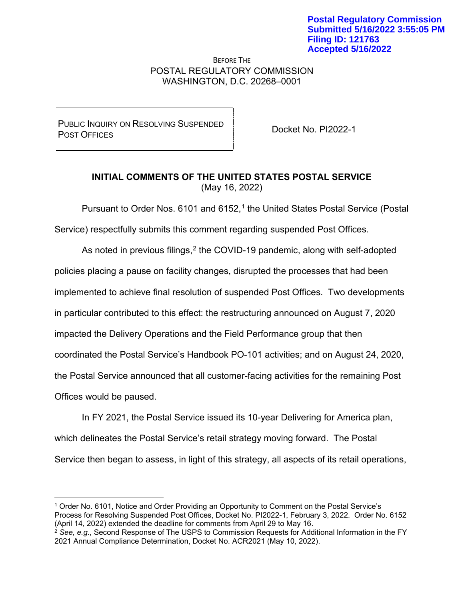BEFORE THE POSTAL REGULATORY COMMISSION WASHINGTON, D.C. 20268–0001

PUBLIC INQUIRY ON RESOLVING SUSPENDED POSEIC INQUIRT ON RESOLVING SUSPENDED<br>POST OFFICES

## **INITIAL COMMENTS OF THE UNITED STATES POSTAL SERVICE** (May 16, 2022)

Pursuant to Order Nos. 6101 and 6152, <sup>1</sup> the United States Postal Service (Postal

Service) respectfully submits this comment regarding suspended Post Offices.

As noted in previous filings,  $2$  the COVID-19 pandemic, along with self-adopted policies placing a pause on facility changes, disrupted the processes that had been implemented to achieve final resolution of suspended Post Offices. Two developments in particular contributed to this effect: the restructuring announced on August 7, 2020 impacted the Delivery Operations and the Field Performance group that then coordinated the Postal Service's Handbook PO-101 activities; and on August 24, 2020, the Postal Service announced that all customer-facing activities for the remaining Post Offices would be paused.

In FY 2021, the Postal Service issued its 10-year Delivering for America plan, which delineates the Postal Service's retail strategy moving forward. The Postal Service then began to assess, in light of this strategy, all aspects of its retail operations,

<sup>1</sup> Order No. 6101, Notice and Order Providing an Opportunity to Comment on the Postal Service's Process for Resolving Suspended Post Offices, Docket No. PI2022-1, February 3, 2022. Order No. 6152 (April 14, 2022) extended the deadline for comments from April 29 to May 16.

<sup>2</sup> *See, e.g.*, Second Response of The USPS to Commission Requests for Additional Information in the FY 2021 Annual Compliance Determination, Docket No. ACR2021 (May 10, 2022).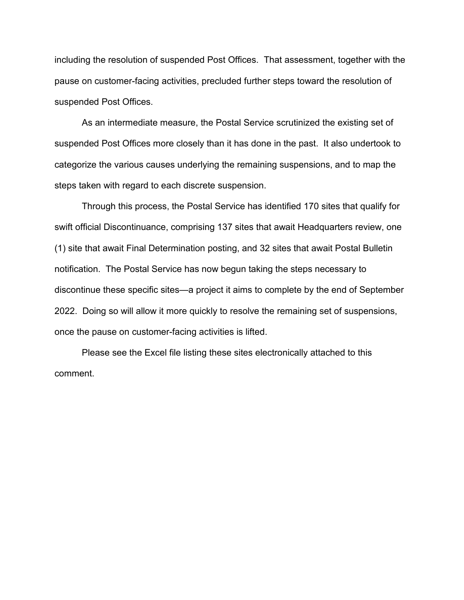including the resolution of suspended Post Offices. That assessment, together with the pause on customer-facing activities, precluded further steps toward the resolution of suspended Post Offices.

As an intermediate measure, the Postal Service scrutinized the existing set of suspended Post Offices more closely than it has done in the past. It also undertook to categorize the various causes underlying the remaining suspensions, and to map the steps taken with regard to each discrete suspension.

Through this process, the Postal Service has identified 170 sites that qualify for swift official Discontinuance, comprising 137 sites that await Headquarters review, one (1) site that await Final Determination posting, and 32 sites that await Postal Bulletin notification. The Postal Service has now begun taking the steps necessary to discontinue these specific sites—a project it aims to complete by the end of September 2022. Doing so will allow it more quickly to resolve the remaining set of suspensions, once the pause on customer-facing activities is lifted.

Please see the Excel file listing these sites electronically attached to this comment.